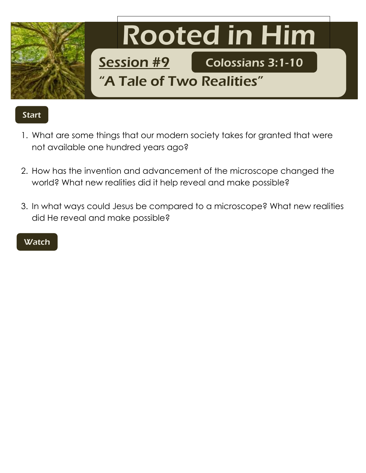

## Start

- 1. What are some things that our modern society takes for granted that were not available one hundred years ago?
- 2. How has the invention and advancement of the microscope changed the world? What new realities did it help reveal and make possible?
- 3. In what ways could Jesus be compared to a microscope? What new realities did He reveal and make possible?

## **Watch**